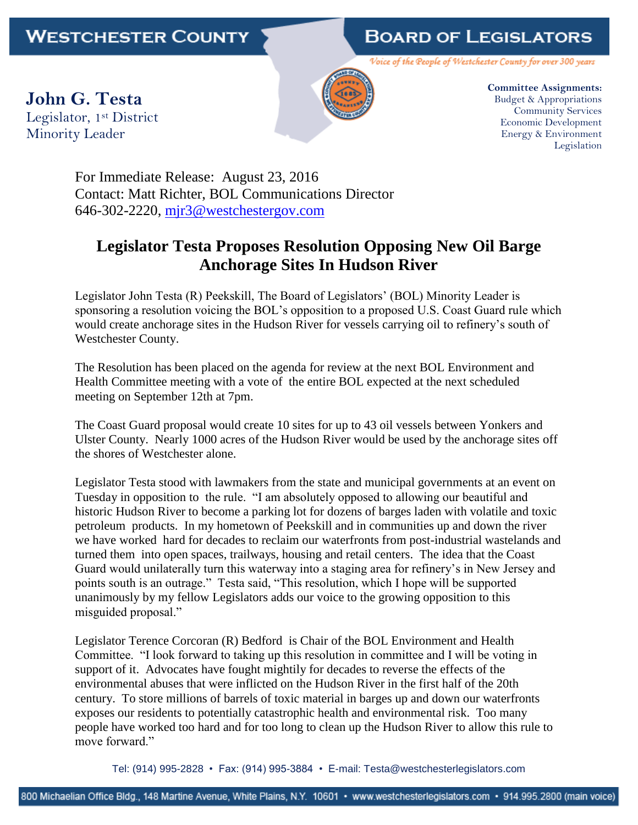## **BOARD OF LEGISLATORS**

Voice of the People of Westchester County for over 300 years

**John G. Testa** Legislator, 1st District Minority Leader



**Committee Assignments:** Budget & Appropriations Community Services Economic Development Energy & Environment Legislation

For Immediate Release: August 23, 2016 Contact: Matt Richter, BOL Communications Director 646-302-2220, [mjr3@westchestergov.com](mailto:mjr3@westchestergov.com)

## **Legislator Testa Proposes Resolution Opposing New Oil Barge Anchorage Sites In Hudson River**

Legislator John Testa (R) Peekskill, The Board of Legislators' (BOL) Minority Leader is sponsoring a resolution voicing the BOL's opposition to a proposed U.S. Coast Guard rule which would create anchorage sites in the Hudson River for vessels carrying oil to refinery's south of Westchester County.

The Resolution has been placed on the agenda for review at the next BOL Environment and Health Committee meeting with a vote of the entire BOL expected at the next scheduled meeting on September 12th at 7pm.

The Coast Guard proposal would create 10 sites for up to 43 oil vessels between Yonkers and Ulster County. Nearly 1000 acres of the Hudson River would be used by the anchorage sites off the shores of Westchester alone.

Legislator Testa stood with lawmakers from the state and municipal governments at an event on Tuesday in opposition to the rule. "I am absolutely opposed to allowing our beautiful and historic Hudson River to become a parking lot for dozens of barges laden with volatile and toxic petroleum products. In my hometown of Peekskill and in communities up and down the river we have worked hard for decades to reclaim our waterfronts from post-industrial wastelands and turned them into open spaces, trailways, housing and retail centers. The idea that the Coast Guard would unilaterally turn this waterway into a staging area for refinery's in New Jersey and points south is an outrage." Testa said, "This resolution, which I hope will be supported unanimously by my fellow Legislators adds our voice to the growing opposition to this misguided proposal."

Legislator Terence Corcoran (R) Bedford is Chair of the BOL Environment and Health Committee. "I look forward to taking up this resolution in committee and I will be voting in support of it. Advocates have fought mightily for decades to reverse the effects of the environmental abuses that were inflicted on the Hudson River in the first half of the 20th century. To store millions of barrels of toxic material in barges up and down our waterfronts exposes our residents to potentially catastrophic health and environmental risk. Too many people have worked too hard and for too long to clean up the Hudson River to allow this rule to move forward."

Tel: (914) 995-2828 • Fax: (914) 995-3884 • E-mail: Testa@westchesterlegislators.com